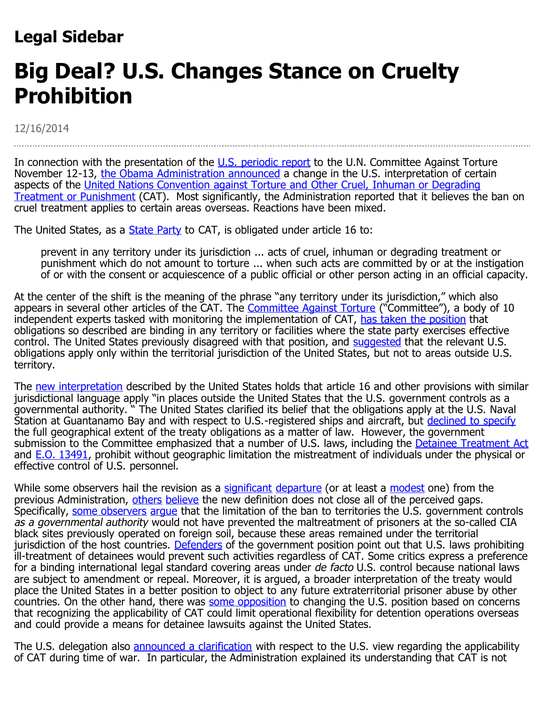## **Legal Sidebar**

## **Big Deal? U.S. Changes Stance on Cruelty Prohibition**

12/16/2014

In connection with the presentation of the [U.S. periodic report](http://www.state.gov/documents/organization/213267.pdf) to the U.N. Committee Against Torture November 12-13, [the Obama Administration announced](http://www.nytimes.com/2014/11/13/us/us-to-revise-bush-policy-on-treatment-of-prisoners.html?ref=europe&utm_source=Sailthru&utm_medium=email&utm_term=*Morning%20Brief&utm_campaign=2014_MorningBrief%20-%20Chevron11.12.14&_r=1) a change in the U.S. interpretation of certain aspects of the [United Nations Convention against Torture and Other Cruel, Inhuman or Degrading](http://www.un.org/documents/ga/res/39/a39r046.htm) [Treatment or Punishment](http://www.un.org/documents/ga/res/39/a39r046.htm) (CAT). Most significantly, the Administration reported that it believes the ban on cruel treatment applies to certain areas overseas. Reactions have been mixed.

The United States, as a **[State Party](https://treaties.un.org/Pages/ViewDetails.aspx?mtdsg_no=IV-9&chapter=4&lang=en)** to CAT, is obligated under article 16 to:

prevent in any territory under its jurisdiction ... acts of cruel, inhuman or degrading treatment or punishment which do not amount to torture ... when such acts are committed by or at the instigation of or with the consent or acquiescence of a public official or other person acting in an official capacity.

At the center of the shift is the meaning of the phrase "any territory under its jurisdiction," which also appears in several other articles of the CAT. The **Committee Against Torture** ("Committee"), a body of 10 independent experts tasked with monitoring the implementation of CAT, [has taken the position](http://docstore.ohchr.org/SelfServices/FilesHandler.ashx?enc=6QkG1d/PPRiCAqhKb7yhskvE%2bTuw1mw/KU18dCyrYrZhDDP8yaSRi/v43pYTgmQ5n7dAGFdDalfzYTJnWNYOXxeLRAIVgbwcSm2ZXH%2bcD%2b/6IT0pc7BkgqlATQUZPVhi) that obligations so described are binding in any territory or facilities where the state party exercises effective control. The United States previously disagreed with that position, and [suggested](http://www.state.gov/documents/organization/138853.pdf#page=9) that the relevant U.S. obligations apply only within the territorial jurisdiction of the United States, but not to areas outside U.S. territory.

The [new interpretation](http://www.whitehouse.gov/the-press-office/2014/11/12/statement-nsc-spokesperson-bernadette-meehan-us-presentation-committee-a) described by the United States holds that article 16 and other provisions with similar jurisdictional language apply "in places outside the United States that the U.S. government controls as a governmental authority. " The United States clarified its belief that the obligations apply at the U.S. Naval Station at Guantanamo Bay and with respect to U.S.-registered ships and aircraft, but [declined to specify](http://www.state.gov/documents/organization/213267.pdf#page=91) the full geographical extent of the treaty obligations as a matter of law. However, the government submission to the Committee emphasized that a number of U.S. laws, including the [Detainee Treatment Act](https://www.congress.gov/109/bills/hr1815/BILLS-109hr1815enr.pdf#page=340) and **[E.O. 13491](http://www.gpo.gov/fdsys/pkg/FR-2009-01-27/pdf/E9-1885.pdf)**, prohibit without geographic limitation the mistreatment of individuals under the physical or effective control of U.S. personnel.

While some observers hail the revision as a [significant](http://justsecurity.org/17551/americas-unequivocal-yes-torture-ban/) [departure](http://justsecurity.org/17435/united-states-torture-convention-part-i-extraterritoriality/) (or at least a [modest](http://www.lawfareblog.com/2014/11/u-s-delegation-asserts-article-16-of-convention-against-torture-applies-outside-u-s-territority-in-certain-circumstances-but-law-of-armed-conflict-takes-precedence-in-situations-of-armed-confli/) one) from the previous Administration, [others](http://www.amnestyusa.org/news/press-releases/amnesty-international-responds-to-usa-s-recognition-that-the-convention-against-torture-applies-at-g) [believe](https://www.aclu.org/human-rights/un-presses-us-torture-policies) the new definition does not close all of the perceived gaps. Specifically, [some observers](http://justsecurity.org/17558/obama-administrations-position-torture-convention-new-yes-significant/) [argue](http://www.hrw.org/news/2014/11/13/us-torture-treaty-shift-significant-inadequate) that the limitation of the ban to territories the U.S. government controls as a governmental authority would not have prevented the maltreatment of prisoners at the so-called CIA black sites previously operated on foreign soil, because these areas remained under the territorial jurisdiction of the host countries. [Defenders](http://www.lawfareblog.com/2014/10/the-convention-against-torture-extraterritorial-application-and-application-to-military-operations/) of the government position point out that U.S. laws prohibiting ill-treatment of detainees would prevent such activities regardless of CAT. Some critics express a preference for a binding international legal standard covering areas under de facto U.S. control because national laws are subject to amendment or repeal. Moreover, it is argued, a broader interpretation of the treaty would place the United States in a better position to object to any future extraterritorial prisoner abuse by other countries. On the other hand, there was [some opposition](http://www.nytimes.com/2014/10/19/us/politics/obama-could-reaffirm-a-bush-era-reading-of-a-treaty-on-torture.html?hpw&rref=politics&action=click&pgtype=Homepage&version=HpHedThumbWell&module=well-region®ion=bottom-well&WT.nav=bottom-well&_r=2) to changing the U.S. position based on concerns that recognizing the applicability of CAT could limit operational flexibility for detention operations overseas and could provide a means for detainee lawsuits against the United States.

The U.S. delegation also [announced a clarification](http://www.whitehouse.gov/the-press-office/2014/11/12/statement-nsc-spokesperson-bernadette-meehan-us-presentation-committee-a) with respect to the U.S. view regarding the applicability of CAT during time of war. In particular, the Administration explained its understanding that CAT is not